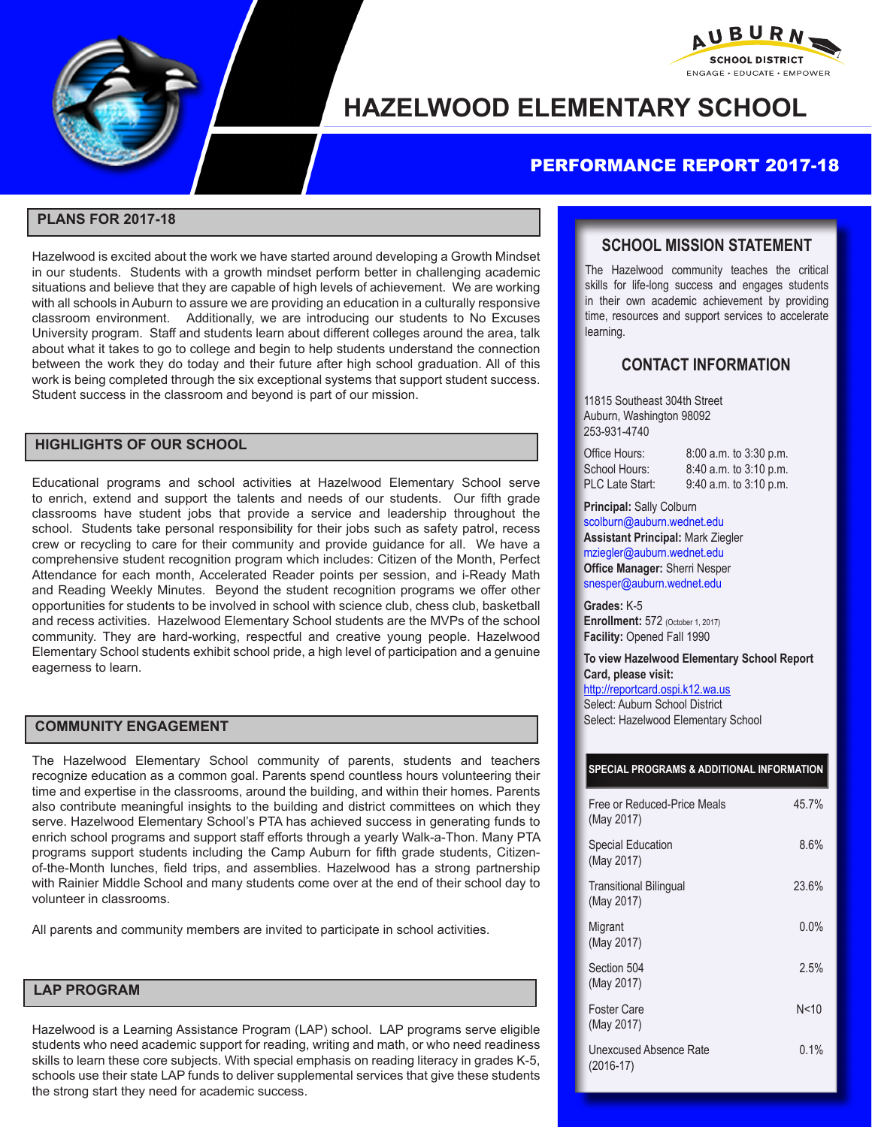

# **HAZELWOOD ELEMENTARY SCHOOL**

## PERFORMANCE REPORT 2017-18

#### **PLANS FOR 2017-18**

Hazelwood is excited about the work we have started around developing a Growth Mindset in our students. Students with a growth mindset perform better in challenging academic situations and believe that they are capable of high levels of achievement. We are working with all schools in Auburn to assure we are providing an education in a culturally responsive classroom environment. Additionally, we are introducing our students to No Excuses University program. Staff and students learn about different colleges around the area, talk about what it takes to go to college and begin to help students understand the connection between the work they do today and their future after high school graduation. All of this work is being completed through the six exceptional systems that support student success. Student success in the classroom and beyond is part of our mission.

#### **HIGHLIGHTS OF OUR SCHOOL**

Educational programs and school activities at Hazelwood Elementary School serve to enrich, extend and support the talents and needs of our students. Our fifth grade classrooms have student jobs that provide a service and leadership throughout the school. Students take personal responsibility for their jobs such as safety patrol, recess crew or recycling to care for their community and provide guidance for all. We have a comprehensive student recognition program which includes: Citizen of the Month, Perfect Attendance for each month, Accelerated Reader points per session, and i-Ready Math and Reading Weekly Minutes. Beyond the student recognition programs we offer other opportunities for students to be involved in school with science club, chess club, basketball and recess activities. Hazelwood Elementary School students are the MVPs of the school community. They are hard-working, respectful and creative young people. Hazelwood Elementary School students exhibit school pride, a high level of participation and a genuine eagerness to learn.

#### **COMMUNITY ENGAGEMENT**

The Hazelwood Elementary School community of parents, students and teachers recognize education as a common goal. Parents spend countless hours volunteering their time and expertise in the classrooms, around the building, and within their homes. Parents also contribute meaningful insights to the building and district committees on which they serve. Hazelwood Elementary School's PTA has achieved success in generating funds to enrich school programs and support staff efforts through a yearly Walk-a-Thon. Many PTA programs support students including the Camp Auburn for fifth grade students, Citizenof-the-Month lunches, field trips, and assemblies. Hazelwood has a strong partnership with Rainier Middle School and many students come over at the end of their school day to volunteer in classrooms.

All parents and community members are invited to participate in school activities.

#### **LAP PROGRAM**

Hazelwood is a Learning Assistance Program (LAP) school. LAP programs serve eligible students who need academic support for reading, writing and math, or who need readiness skills to learn these core subjects. With special emphasis on reading literacy in grades K-5, schools use their state LAP funds to deliver supplemental services that give these students the strong start they need for academic success.

#### **SCHOOL MISSION STATEMENT**

AUBURN, **SCHOOL DISTRICT** ENGAGE . EDUCATE . EMPOWER

The Hazelwood community teaches the critical skills for life-long success and engages students in their own academic achievement by providing time, resources and support services to accelerate learning.

### **CONTACT INFORMATION**

11815 Southeast 304th Street Auburn, Washington 98092 253-931-4740

| Office Hours:   |  |
|-----------------|--|
| School Hours:   |  |
| PLC Late Start: |  |

8:00 a.m. to 3:30 p.m. 8:40 a.m. to 3:10 p.m. 9:40 a.m. to 3:10 p.m.

**Principal:** Sally Colburn scolburn@auburn.wednet.edu **Assistant Principal:** Mark Ziegler mziegler@auburn.wednet.edu **Office Manager:** Sherri Nesper snesper@auburn.wednet.edu

**Grades:** K-5 **Enrollment: 572 (October 1, 2017) Facility:** Opened Fall 1990

**To view Hazelwood Elementary School Report Card, please visit:** 

http://reportcard.ospi.k12.wa.us

Select: Auburn School District Select: Hazelwood Elementary School

#### **SPECIAL PROGRAMS & ADDITIONAL INFORMATION**

| Free or Reduced-Price Meals<br>(May 2017)   | 45.7%   |
|---------------------------------------------|---------|
| <b>Special Education</b><br>(May 2017)      | 8.6%    |
| <b>Transitional Bilingual</b><br>(May 2017) | 23.6%   |
| Migrant<br>(May 2017)                       | $0.0\%$ |
| Section 504<br>(May 2017)                   | 2.5%    |
| <b>Foster Care</b><br>(May 2017)            | N<10    |
| Unexcused Absence Rate<br>$(2016-17)$       | 0.1%    |